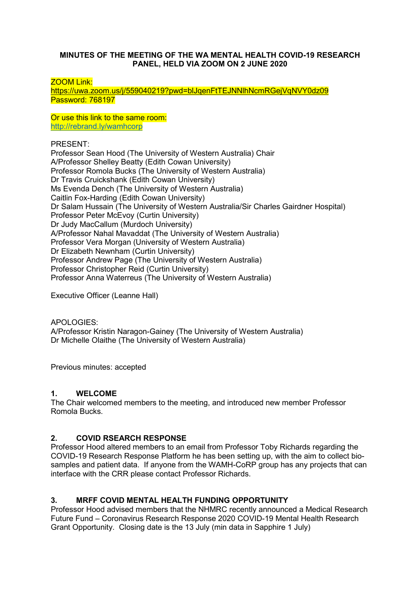### **MINUTES OF THE MEETING OF THE WA MENTAL HEALTH COVID-19 RESEARCH PANEL, HELD VIA ZOOM ON 2 JUNE 2020**

ZOOM Link:

<https://uwa.zoom.us/j/559040219?pwd=blJqenFtTEJNNlhNcmRGejVqNVY0dz09> Password: 768197

Or use this link to the same room: <http://rebrand.ly/wamhcorp>

PRESENT:

Professor Sean Hood (The University of Western Australia) Chair A/Professor Shelley Beatty (Edith Cowan University) Professor Romola Bucks (The University of Western Australia) Dr Travis Cruickshank (Edith Cowan University) Ms Evenda Dench (The University of Western Australia) Caitlin Fox-Harding (Edith Cowan University) Dr Salam Hussain (The University of Western Australia/Sir Charles Gairdner Hospital) Professor Peter McEvoy (Curtin University) Dr Judy MacCallum (Murdoch University) A/Professor Nahal Mavaddat (The University of Western Australia) Professor Vera Morgan (University of Western Australia) Dr Elizabeth Newnham (Curtin University) Professor Andrew Page (The University of Western Australia) Professor Christopher Reid (Curtin University) Professor Anna Waterreus (The University of Western Australia)

Executive Officer (Leanne Hall)

APOLOGIES: A/Professor Kristin Naragon-Gainey (The University of Western Australia) Dr Michelle Olaithe (The University of Western Australia)

Previous minutes: accepted

### **1. WELCOME**

The Chair welcomed members to the meeting, and introduced new member Professor Romola Bucks.

### **2. COVID RSEARCH RESPONSE**

Professor Hood altered members to an email from Professor Toby Richards regarding the COVID-19 Research Response Platform he has been setting up, with the aim to collect biosamples and patient data. If anyone from the WAMH-CoRP group has any projects that can interface with the CRR please contact Professor Richards.

# **3. MRFF COVID MENTAL HEALTH FUNDING OPPORTUNITY**

Professor Hood advised members that the NHMRC recently announced a Medical Research Future Fund – Coronavirus Research Response 2020 COVID-19 Mental Health Research Grant Opportunity. Closing date is the 13 July (min data in Sapphire 1 July)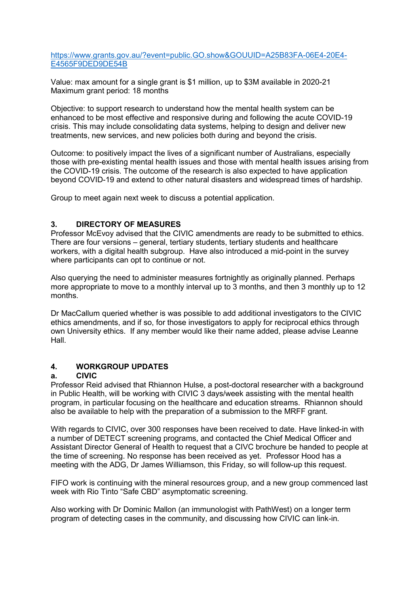[https://www.grants.gov.au/?event=public.GO.show&GOUUID=A25B83FA-06E4-20E4-](https://www.grants.gov.au/?event=public.GO.show&GOUUID=A25B83FA-06E4-20E4-E4565F9DED9DE54B) [E4565F9DED9DE54B](https://www.grants.gov.au/?event=public.GO.show&GOUUID=A25B83FA-06E4-20E4-E4565F9DED9DE54B)

Value: max amount for a single grant is \$1 million, up to \$3M available in 2020-21 Maximum grant period: 18 months

Objective: to support research to understand how the mental health system can be enhanced to be most effective and responsive during and following the acute COVID-19 crisis. This may include consolidating data systems, helping to design and deliver new treatments, new services, and new policies both during and beyond the crisis.

Outcome: to positively impact the lives of a significant number of Australians, especially those with pre-existing mental health issues and those with mental health issues arising from the COVID-19 crisis. The outcome of the research is also expected to have application beyond COVID-19 and extend to other natural disasters and widespread times of hardship.

Group to meet again next week to discuss a potential application.

## **3. DIRECTORY OF MEASURES**

Professor McEvoy advised that the CIVIC amendments are ready to be submitted to ethics. There are four versions – general, tertiary students, tertiary students and healthcare workers, with a digital health subgroup. Have also introduced a mid-point in the survey where participants can opt to continue or not.

Also querying the need to administer measures fortnightly as originally planned. Perhaps more appropriate to move to a monthly interval up to 3 months, and then 3 monthly up to 12 months.

Dr MacCallum queried whether is was possible to add additional investigators to the CIVIC ethics amendments, and if so, for those investigators to apply for reciprocal ethics through own University ethics. If any member would like their name added, please advise Leanne Hall.

# **4. WORKGROUP UPDATES**

### **a. CIVIC**

Professor Reid advised that Rhiannon Hulse, a post-doctoral researcher with a background in Public Health, will be working with CIVIC 3 days/week assisting with the mental health program, in particular focusing on the healthcare and education streams. Rhiannon should also be available to help with the preparation of a submission to the MRFF grant.

With regards to CIVIC, over 300 responses have been received to date. Have linked-in with a number of DETECT screening programs, and contacted the Chief Medical Officer and Assistant Director General of Health to request that a CIVC brochure be handed to people at the time of screening. No response has been received as yet. Professor Hood has a meeting with the ADG, Dr James Williamson, this Friday, so will follow-up this request.

FIFO work is continuing with the mineral resources group, and a new group commenced last week with Rio Tinto "Safe CBD" asymptomatic screening.

Also working with Dr Dominic Mallon (an immunologist with PathWest) on a longer term program of detecting cases in the community, and discussing how CIVIC can link-in.